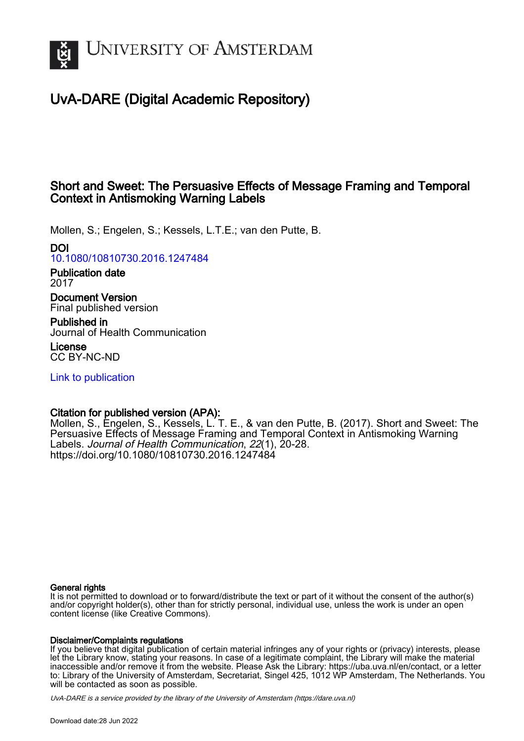

# UvA-DARE (Digital Academic Repository)

# Short and Sweet: The Persuasive Effects of Message Framing and Temporal Context in Antismoking Warning Labels

Mollen, S.; Engelen, S.; Kessels, L.T.E.; van den Putte, B.

# DOI

[10.1080/10810730.2016.1247484](https://doi.org/10.1080/10810730.2016.1247484)

## Publication date 2017

Document Version Final published version

Published in Journal of Health Communication

License CC BY-NC-ND

[Link to publication](https://dare.uva.nl/personal/pure/en/publications/short-and-sweet-the-persuasive-effects-of-message-framing-and-temporal-context-in-antismoking-warning-labels(f6e98574-9543-48a6-ba36-258714d356d6).html)

# Citation for published version (APA):

Mollen, S., Engelen, S., Kessels, L. T. E., & van den Putte, B. (2017). Short and Sweet: The Persuasive Effects of Message Framing and Temporal Context in Antismoking Warning Labels. Journal of Health Communication, 22(1), 20-28. <https://doi.org/10.1080/10810730.2016.1247484>

# General rights

It is not permitted to download or to forward/distribute the text or part of it without the consent of the author(s) and/or copyright holder(s), other than for strictly personal, individual use, unless the work is under an open content license (like Creative Commons).

# Disclaimer/Complaints regulations

If you believe that digital publication of certain material infringes any of your rights or (privacy) interests, please let the Library know, stating your reasons. In case of a legitimate complaint, the Library will make the material inaccessible and/or remove it from the website. Please Ask the Library: https://uba.uva.nl/en/contact, or a letter to: Library of the University of Amsterdam, Secretariat, Singel 425, 1012 WP Amsterdam, The Netherlands. You will be contacted as soon as possible.

UvA-DARE is a service provided by the library of the University of Amsterdam (http*s*://dare.uva.nl)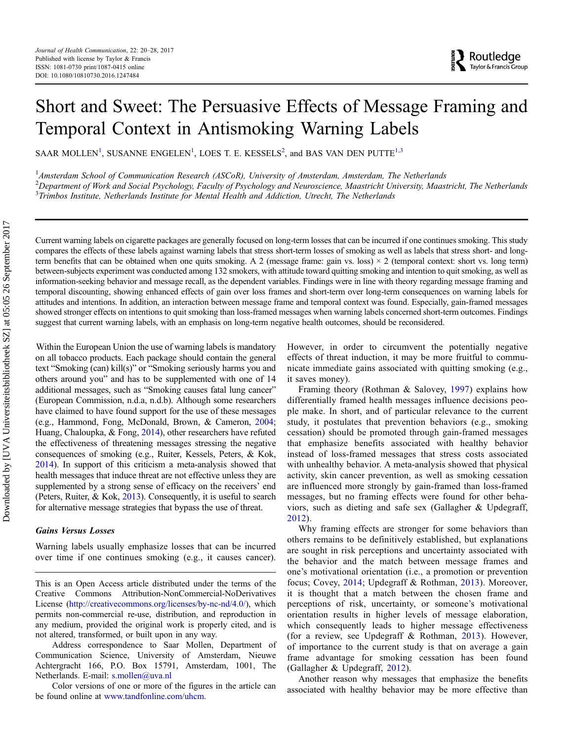# Short and Sweet: The Persuasive Effects of Message Framing and Temporal Context in Antismoking Warning Labels

SAAR MOLLEN<sup>1</sup>, SUSANNE ENGELEN<sup>1</sup>, LOES T. E. KESSELS<sup>2</sup>, and BAS VAN DEN PUTTE<sup>1,3</sup>

<sup>1</sup> Amsterdam School of Communication Research (ASCoR), University of Amsterdam, Amsterdam, The Netherlands  $^2$ Department of Work and Social Psychology, Faculty of Psychology and Neuroscience, Maastricht University, Maastricht, The Netherlands <sup>3</sup>Trimbos Institute, Netherlands Institute for Mental Health and Addiction, Utrecht, The Netherlands

Current warning labels on cigarette packages are generally focused on long-term losses that can be incurred if one continues smoking. This study compares the effects of these labels against warning labels that stress short-term losses of smoking as well as labels that stress short- and longterm benefits that can be obtained when one quits smoking. A 2 (message frame: gain vs. loss)  $\times$  2 (temporal context: short vs. long term) between-subjects experiment was conducted among 132 smokers, with attitude toward quitting smoking and intention to quit smoking, as well as information-seeking behavior and message recall, as the dependent variables. Findings were in line with theory regarding message framing and temporal discounting, showing enhanced effects of gain over loss frames and short-term over long-term consequences on warning labels for attitudes and intentions. In addition, an interaction between message frame and temporal context was found. Especially, gain-framed messages showed stronger effects on intentions to quit smoking than loss-framed messages when warning labels concerned short-term outcomes. Findings suggest that current warning labels, with an emphasis on long-term negative health outcomes, should be reconsidered.

Within the European Union the use of warning labels is mandatory on all tobacco products. Each package should contain the general text "Smoking (can) kill(s)" or "Smoking seriously harms you and others around you" and has to be supplemented with one of 14 additional messages, such as "Smoking causes fatal lung cancer" (European Commission, n.d.a, n.d.b). Although some researchers have claimed to have found support for the use of these messages (e.g., Hammond, Fong, McDonald, Brown, & Cameron, [2004](#page-7-0); Huang, Chaloupka, & Fong, [2014\)](#page-7-0), other researchers have refuted the effectiveness of threatening messages stressing the negative consequences of smoking (e.g., Ruiter, Kessels, Peters, & Kok, [2014](#page-8-0)). In support of this criticism a meta-analysis showed that health messages that induce threat are not effective unless they are supplemented by a strong sense of efficacy on the receivers' end (Peters, Ruiter, & Kok, [2013](#page-8-0)). Consequently, it is useful to search for alternative message strategies that bypass the use of threat.

#### Gains Versus Losses

Warning labels usually emphasize losses that can be incurred over time if one continues smoking (e.g., it causes cancer).

Color versions of one or more of the figures in the article can be found online at [www.tandfonline.com/uhcm](http://www.tandfonline.com/uhcm).

However, in order to circumvent the potentially negative effects of threat induction, it may be more fruitful to communicate immediate gains associated with quitting smoking (e.g., it saves money).

Framing theory (Rothman & Salovey, [1997\)](#page-8-0) explains how differentially framed health messages influence decisions people make. In short, and of particular relevance to the current study, it postulates that prevention behaviors (e.g., smoking cessation) should be promoted through gain-framed messages that emphasize benefits associated with healthy behavior instead of loss-framed messages that stress costs associated with unhealthy behavior. A meta-analysis showed that physical activity, skin cancer prevention, as well as smoking cessation are influenced more strongly by gain-framed than loss-framed messages, but no framing effects were found for other behaviors, such as dieting and safe sex (Gallagher & Updegraff, [2012](#page-7-0)).

Why framing effects are stronger for some behaviors than others remains to be definitively established, but explanations are sought in risk perceptions and uncertainty associated with the behavior and the match between message frames and one's motivational orientation (i.e., a promotion or prevention focus; Covey, [2014](#page-7-0); Updegraff & Rothman, [2013\)](#page-8-0). Moreover, it is thought that a match between the chosen frame and perceptions of risk, uncertainty, or someone's motivational orientation results in higher levels of message elaboration, which consequently leads to higher message effectiveness (for a review, see Updegraff & Rothman, [2013\)](#page-8-0). However, of importance to the current study is that on average a gain frame advantage for smoking cessation has been found (Gallagher & Updegraff, [2012\)](#page-7-0).

Another reason why messages that emphasize the benefits associated with healthy behavior may be more effective than

This is an Open Access article distributed under the terms of the Creative Commons Attribution-NonCommercial-NoDerivatives License (http://creativecommons.org/licenses/by-nc-nd/4.0/), which permits non-commercial re-use, distribution, and reproduction in any medium, provided the original work is properly cited, and is not altered, transformed, or built upon in any way.

Address correspondence to Saar Mollen, Department of Communication Science, University of Amsterdam, Nieuwe Achtergracht 166, P.O. Box 15791, Amsterdam, 1001, The Netherlands. E-mail: s.mollen@uva.nl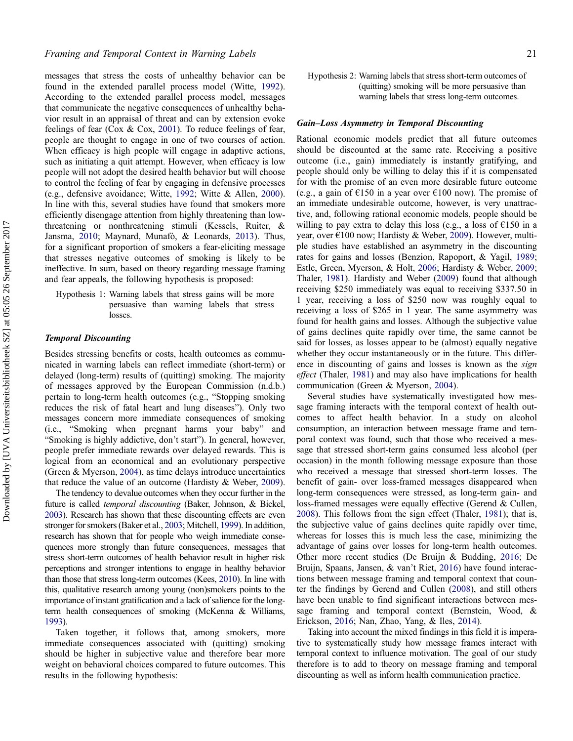messages that stress the costs of unhealthy behavior can be found in the extended parallel process model (Witte, [1992](#page-8-0)). According to the extended parallel process model, messages that communicate the negative consequences of unhealthy behavior result in an appraisal of threat and can by extension evoke feelings of fear (Cox & Cox, [2001](#page-7-0)). To reduce feelings of fear, people are thought to engage in one of two courses of action. When efficacy is high people will engage in adaptive actions, such as initiating a quit attempt. However, when efficacy is low people will not adopt the desired health behavior but will choose to control the feeling of fear by engaging in defensive processes (e.g., defensive avoidance; Witte, [1992;](#page-8-0) Witte & Allen, [2000](#page-8-0)). In line with this, several studies have found that smokers more efficiently disengage attention from highly threatening than lowthreatening or nonthreatening stimuli (Kessels, Ruiter, & Jansma, [2010](#page-7-0); Maynard, Munafò, & Leonards, [2013\)](#page-7-0). Thus, for a significant proportion of smokers a fear-eliciting message that stresses negative outcomes of smoking is likely to be ineffective. In sum, based on theory regarding message framing and fear appeals, the following hypothesis is proposed:

Hypothesis 1: Warning labels that stress gains will be more persuasive than warning labels that stress losses.

### Temporal Discounting

Besides stressing benefits or costs, health outcomes as communicated in warning labels can reflect immediate (short-term) or delayed (long-term) results of (quitting) smoking. The majority of messages approved by the European Commission (n.d.b.) pertain to long-term health outcomes (e.g., "Stopping smoking reduces the risk of fatal heart and lung diseases"). Only two messages concern more immediate consequences of smoking (i.e., "Smoking when pregnant harms your baby" and "Smoking is highly addictive, don't start"). In general, however, people prefer immediate rewards over delayed rewards. This is logical from an economical and an evolutionary perspective (Green & Myerson, [2004](#page-7-0)), as time delays introduce uncertainties that reduce the value of an outcome (Hardisty & Weber, [2009](#page-7-0)).

The tendency to devalue outcomes when they occur further in the future is called temporal discounting (Baker, Johnson, & Bickel, [2003](#page-7-0)). Research has shown that these discounting effects are even stronger for smokers (Baker et al., [2003](#page-7-0); Mitchell, [1999\)](#page-7-0). In addition, research has shown that for people who weigh immediate consequences more strongly than future consequences, messages that stress short-term outcomes of health behavior result in higher risk perceptions and stronger intentions to engage in healthy behavior than those that stress long-term outcomes (Kees, [2010](#page-7-0)). In line with this, qualitative research among young (non)smokers points to the importance of instant gratification and a lack of salience for the longterm health consequences of smoking (McKenna & Williams, [1993\)](#page-7-0).

Taken together, it follows that, among smokers, more immediate consequences associated with (quitting) smoking should be higher in subjective value and therefore bear more weight on behavioral choices compared to future outcomes. This results in the following hypothesis:

Hypothesis 2: Warning labels that stress short-term outcomes of (quitting) smoking will be more persuasive than warning labels that stress long-term outcomes.

#### Gain–Loss Asymmetry in Temporal Discounting

Rational economic models predict that all future outcomes should be discounted at the same rate. Receiving a positive outcome (i.e., gain) immediately is instantly gratifying, and people should only be willing to delay this if it is compensated for with the promise of an even more desirable future outcome (e.g., a gain of  $E150$  in a year over  $E100$  now). The promise of an immediate undesirable outcome, however, is very unattractive, and, following rational economic models, people should be willing to pay extra to delay this loss (e.g., a loss of  $E$ 150 in a year, over €100 now; Hardisty & Weber, [2009\)](#page-7-0). However, multiple studies have established an asymmetry in the discounting rates for gains and losses (Benzion, Rapoport, & Yagil, [1989](#page-7-0); Estle, Green, Myerson, & Holt, [2006;](#page-7-0) Hardisty & Weber, [2009](#page-7-0); Thaler, [1981\)](#page-8-0). Hardisty and Weber ([2009\)](#page-7-0) found that although receiving \$250 immediately was equal to receiving \$337.50 in 1 year, receiving a loss of \$250 now was roughly equal to receiving a loss of \$265 in 1 year. The same asymmetry was found for health gains and losses. Although the subjective value of gains declines quite rapidly over time, the same cannot be said for losses, as losses appear to be (almost) equally negative whether they occur instantaneously or in the future. This difference in discounting of gains and losses is known as the sign effect (Thaler, [1981](#page-8-0)) and may also have implications for health communication (Green & Myerson, [2004](#page-7-0)).

Several studies have systematically investigated how message framing interacts with the temporal context of health outcomes to affect health behavior. In a study on alcohol consumption, an interaction between message frame and temporal context was found, such that those who received a message that stressed short-term gains consumed less alcohol (per occasion) in the month following message exposure than those who received a message that stressed short-term losses. The benefit of gain- over loss-framed messages disappeared when long-term consequences were stressed, as long-term gain- and loss-framed messages were equally effective (Gerend & Cullen, [2008\)](#page-7-0). This follows from the sign effect (Thaler, [1981\)](#page-8-0); that is, the subjective value of gains declines quite rapidly over time, whereas for losses this is much less the case, minimizing the advantage of gains over losses for long-term health outcomes. Other more recent studies (De Bruijn & Budding, [2016;](#page-7-0) De Bruijn, Spaans, Jansen, & van't Riet, [2016\)](#page-7-0) have found interactions between message framing and temporal context that counter the findings by Gerend and Cullen [\(2008](#page-7-0)), and still others have been unable to find significant interactions between message framing and temporal context (Bernstein, Wood, & Erickson, [2016;](#page-7-0) Nan, Zhao, Yang, & Iles, [2014\)](#page-7-0).

Taking into account the mixed findings in this field it is imperative to systematically study how message frames interact with temporal context to influence motivation. The goal of our study therefore is to add to theory on message framing and temporal discounting as well as inform health communication practice.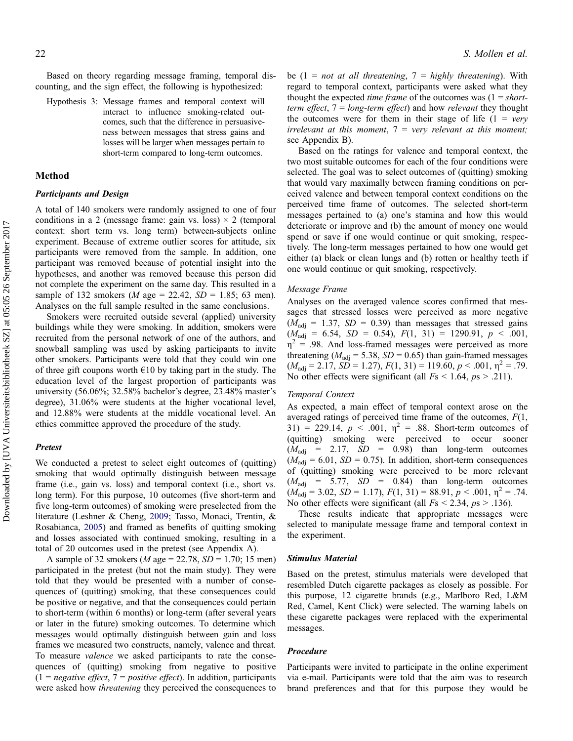Based on theory regarding message framing, temporal discounting, and the sign effect, the following is hypothesized:

Hypothesis 3: Message frames and temporal context will interact to influence smoking-related outcomes, such that the difference in persuasiveness between messages that stress gains and losses will be larger when messages pertain to short-term compared to long-term outcomes.

# Method

#### Participants and Design

A total of 140 smokers were randomly assigned to one of four conditions in a 2 (message frame: gain vs. loss)  $\times$  2 (temporal context: short term vs. long term) between-subjects online experiment. Because of extreme outlier scores for attitude, six participants were removed from the sample. In addition, one participant was removed because of potential insight into the hypotheses, and another was removed because this person did not complete the experiment on the same day. This resulted in a sample of 132 smokers (*M* age = 22.42, *SD* = 1.85; 63 men). Analyses on the full sample resulted in the same conclusions.

Smokers were recruited outside several (applied) university buildings while they were smoking. In addition, smokers were recruited from the personal network of one of the authors, and snowball sampling was used by asking participants to invite other smokers. Participants were told that they could win one of three gift coupons worth  $\epsilon$ 10 by taking part in the study. The education level of the largest proportion of participants was university (56.06%; 32.58% bachelor's degree, 23.48% master's degree), 31.06% were students at the higher vocational level, and 12.88% were students at the middle vocational level. An ethics committee approved the procedure of the study.

#### **Pretest**

We conducted a pretest to select eight outcomes of (quitting) smoking that would optimally distinguish between message frame (i.e., gain vs. loss) and temporal context (i.e., short vs. long term). For this purpose, 10 outcomes (five short-term and five long-term outcomes) of smoking were preselected from the literature (Leshner & Cheng, [2009](#page-7-0); Tasso, Monaci, Trentin, & Rosabianca, [2005\)](#page-8-0) and framed as benefits of quitting smoking and losses associated with continued smoking, resulting in a total of 20 outcomes used in the pretest (see Appendix A).

A sample of 32 smokers (*M* age = 22.78, *SD* = 1.70; 15 men) participated in the pretest (but not the main study). They were told that they would be presented with a number of consequences of (quitting) smoking, that these consequences could be positive or negative, and that the consequences could pertain to short-term (within 6 months) or long-term (after several years or later in the future) smoking outcomes. To determine which messages would optimally distinguish between gain and loss frames we measured two constructs, namely, valence and threat. To measure valence we asked participants to rate the consequences of (quitting) smoking from negative to positive  $(1 = negative \, effect, 7 = positive \, effect)$ . In addition, participants were asked how threatening they perceived the consequences to

be (1 = not at all threatening,  $7 =$  highly threatening). With regard to temporal context, participants were asked what they thought the expected *time frame* of the outcomes was  $(1 = short$ term effect,  $7 = long-term$  effect) and how relevant they thought the outcomes were for them in their stage of life  $(1 = \text{very})$ irrelevant at this moment,  $7=$  very relevant at this moment; see Appendix B).

Based on the ratings for valence and temporal context, the two most suitable outcomes for each of the four conditions were selected. The goal was to select outcomes of (quitting) smoking that would vary maximally between framing conditions on perceived valence and between temporal context conditions on the perceived time frame of outcomes. The selected short-term messages pertained to (a) one's stamina and how this would deteriorate or improve and (b) the amount of money one would spend or save if one would continue or quit smoking, respectively. The long-term messages pertained to how one would get either (a) black or clean lungs and (b) rotten or healthy teeth if one would continue or quit smoking, respectively.

#### Message Frame

Analyses on the averaged valence scores confirmed that messages that stressed losses were perceived as more negative  $(M_{\text{adi}} = 1.37, SD = 0.39)$  than messages that stressed gains  $(M_{\text{adj}} = 6.54, SD = 0.54), F(1, 31) = 1290.91, p < .001,$  $\eta^2$  = .98. And loss-framed messages were perceived as more threatening ( $M_{\text{adj}}$  = 5.38, SD = 0.65) than gain-framed messages  $(M_{\text{adi}} = 2.17, SD = 1.27), F(1, 31) = 119.60, p < .001, \eta^2 = .79.$ No other effects were significant (all  $Fs < 1.64$ ,  $ps > .211$ ).

#### Temporal Context

As expected, a main effect of temporal context arose on the averaged ratings of perceived time frame of the outcomes,  $F(1, 1)$ 31) = 229.14,  $p < .001$ ,  $\eta^2 = .88$ . Short-term outcomes of (quitting) smoking were perceived to occur sooner  $(M<sub>adi</sub> = 2.17, SD = 0.98)$  than long-term outcomes  $(M_{\text{adi}} = 6.01, SD = 0.75)$ . In addition, short-term consequences of (quitting) smoking were perceived to be more relevant  $(M_{\text{adi}}$  = 5.77, SD = 0.84) than long-term outcomes  $(M_{\text{adj}} = 3.02, SD = 1.17), F(1, 31) = 88.91, p < .001, \eta^2 = .74.$ No other effects were significant (all  $Fs < 2.34$ ,  $ps > .136$ ).

These results indicate that appropriate messages were selected to manipulate message frame and temporal context in the experiment.

#### Stimulus Material

Based on the pretest, stimulus materials were developed that resembled Dutch cigarette packages as closely as possible. For this purpose, 12 cigarette brands (e.g., Marlboro Red, L&M Red, Camel, Kent Click) were selected. The warning labels on these cigarette packages were replaced with the experimental messages.

#### Procedure

Participants were invited to participate in the online experiment via e-mail. Participants were told that the aim was to research brand preferences and that for this purpose they would be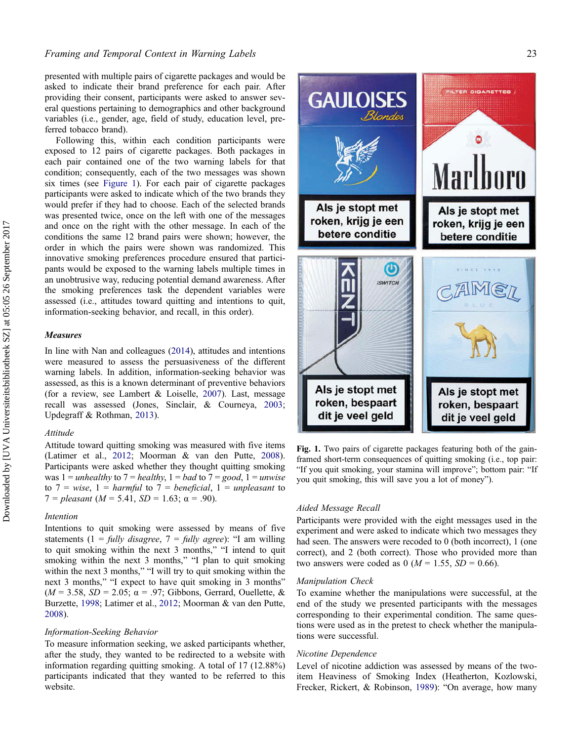presented with multiple pairs of cigarette packages and would be asked to indicate their brand preference for each pair. After providing their consent, participants were asked to answer several questions pertaining to demographics and other background variables (i.e., gender, age, field of study, education level, preferred tobacco brand).

Following this, within each condition participants were exposed to 12 pairs of cigarette packages. Both packages in each pair contained one of the two warning labels for that condition; consequently, each of the two messages was shown six times (see Figure 1). For each pair of cigarette packages participants were asked to indicate which of the two brands they would prefer if they had to choose. Each of the selected brands was presented twice, once on the left with one of the messages and once on the right with the other message. In each of the conditions the same 12 brand pairs were shown; however, the order in which the pairs were shown was randomized. This innovative smoking preferences procedure ensured that participants would be exposed to the warning labels multiple times in an unobtrusive way, reducing potential demand awareness. After the smoking preferences task the dependent variables were assessed (i.e., attitudes toward quitting and intentions to quit, information-seeking behavior, and recall, in this order).

#### Measures

In line with Nan and colleagues [\(2014](#page-7-0)), attitudes and intentions were measured to assess the persuasiveness of the different warning labels. In addition, information-seeking behavior was assessed, as this is a known determinant of preventive behaviors (for a review, see Lambert & Loiselle, [2007\)](#page-7-0). Last, message recall was assessed (Jones, Sinclair, & Courneya, [2003](#page-7-0); Updegraff & Rothman, [2013\)](#page-8-0).

#### Attitude

Attitude toward quitting smoking was measured with five items (Latimer et al., [2012](#page-7-0); Moorman & van den Putte, [2008](#page-7-0)). Participants were asked whether they thought quitting smoking was  $1 =$  unhealthy to  $7 =$  healthy,  $1 =$  bad to  $7 =$  good,  $1 =$  unwise to  $7 = wise$ ,  $1 = harmful$  to  $7 = beneficial$ ,  $1 = unpleasant$  to  $7 = pleasant (M = 5.41, SD = 1.63; \alpha = .90).$ 

#### Intention

Intentions to quit smoking were assessed by means of five statements (1 = fully disagree, 7 = fully agree): "I am willing to quit smoking within the next 3 months," "I intend to quit smoking within the next 3 months," "I plan to quit smoking within the next 3 months," "I will try to quit smoking within the next 3 months," "I expect to have quit smoking in 3 months"  $(M = 3.58, SD = 2.05; \alpha = .97; Gibbsons, Gerard, Ouellette, &$ Burzette, [1998](#page-7-0); Latimer et al., [2012](#page-7-0); Moorman & van den Putte, [2008\)](#page-7-0).

#### Information-Seeking Behavior

To measure information seeking, we asked participants whether, after the study, they wanted to be redirected to a website with information regarding quitting smoking. A total of 17 (12.88%) participants indicated that they wanted to be referred to this website.



Fig. 1. Two pairs of cigarette packages featuring both of the gainframed short-term consequences of quitting smoking (i.e., top pair: "If you quit smoking, your stamina will improve"; bottom pair: "If you quit smoking, this will save you a lot of money").

## Aided Message Recall

Participants were provided with the eight messages used in the experiment and were asked to indicate which two messages they had seen. The answers were recoded to 0 (both incorrect), 1 (one correct), and 2 (both correct). Those who provided more than two answers were coded as 0 ( $M = 1.55$ ,  $SD = 0.66$ ).

#### Manipulation Check

To examine whether the manipulations were successful, at the end of the study we presented participants with the messages corresponding to their experimental condition. The same questions were used as in the pretest to check whether the manipulations were successful.

#### Nicotine Dependence

Level of nicotine addiction was assessed by means of the twoitem Heaviness of Smoking Index (Heatherton, Kozlowski, Frecker, Rickert, & Robinson, [1989](#page-7-0)): "On average, how many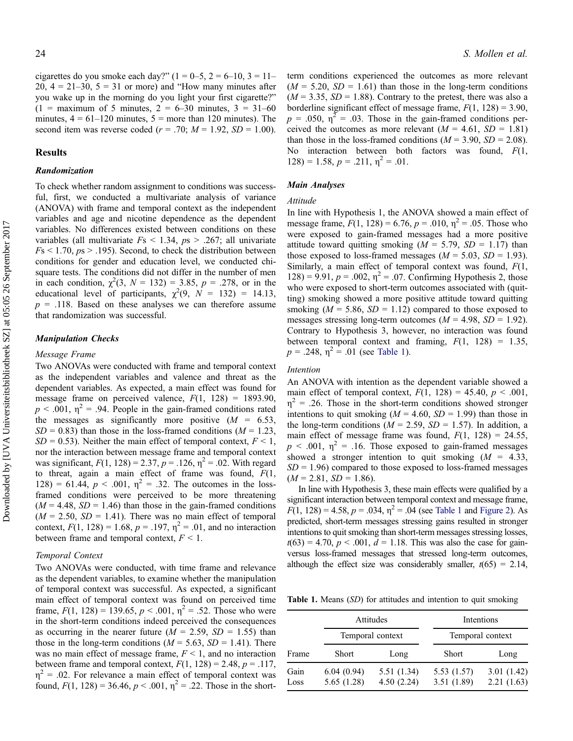cigarettes do you smoke each day?"  $(1 = 0-5, 2 = 6-10, 3 = 11-$ 20,  $4 = 21-30$ ,  $5 = 31$  or more) and "How many minutes after you wake up in the morning do you light your first cigarette?"  $(1 = \text{maximum of 5 minutes}, 2 = 6 - 30 \text{ minutes}, 3 = 31 - 60)$ minutes,  $4 = 61 - 120$  minutes,  $5 =$  more than 120 minutes). The second item was reverse coded ( $r = .70$ ;  $M = 1.92$ ,  $SD = 1.00$ ).

### Results

# Randomization

To check whether random assignment to conditions was successful, first, we conducted a multivariate analysis of variance (ANOVA) with frame and temporal context as the independent variables and age and nicotine dependence as the dependent variables. No differences existed between conditions on these variables (all multivariate  $Fs < 1.34$ ,  $ps > .267$ ; all univariate  $Fs \leq 1.70, ps \geq .195$ ). Second, to check the distribution between conditions for gender and education level, we conducted chisquare tests. The conditions did not differ in the number of men in each condition,  $\chi^2(3, N = 132) = 3.85, p = .278$ , or in the educational level of participants,  $\chi^2(9, N = 132) = 14.13$ ,  $p = .118$ . Based on these analyses we can therefore assume that randomization was successful.

#### Manipulation Checks

#### Message Frame

Two ANOVAs were conducted with frame and temporal context as the independent variables and valence and threat as the dependent variables. As expected, a main effect was found for message frame on perceived valence,  $F(1, 128) = 1893.90$ ,  $p < .001$ ,  $\eta^2 = .94$ . People in the gain-framed conditions rated the messages as significantly more positive  $(M = 6.53)$ ,  $SD = 0.83$ ) than those in the loss-framed conditions ( $M = 1.23$ ,  $SD = 0.53$ ). Neither the main effect of temporal context,  $F < 1$ , nor the interaction between message frame and temporal context was significant,  $F(1, 128) = 2.37$ ,  $p = .126$ ,  $\eta^2 = .02$ . With regard to threat, again a main effect of frame was found,  $F(1, 1)$ 128) = 61.44,  $p < .001$ ,  $\eta^2 = .32$ . The outcomes in the lossframed conditions were perceived to be more threatening  $(M = 4.48, SD = 1.46)$  than those in the gain-framed conditions  $(M = 2.50, SD = 1.41)$ . There was no main effect of temporal context,  $F(1, 128) = 1.68$ ,  $p = .197$ ,  $\eta^2 = .01$ , and no interaction between frame and temporal context,  $F < 1$ .

#### Temporal Context

Two ANOVAs were conducted, with time frame and relevance as the dependent variables, to examine whether the manipulation of temporal context was successful. As expected, a significant main effect of temporal context was found on perceived time frame,  $F(1, 128) = 139.65$ ,  $p < .001$ ,  $\eta^2 = .52$ . Those who were in the short-term conditions indeed perceived the consequences as occurring in the nearer future ( $M = 2.59$ ,  $SD = 1.55$ ) than those in the long-term conditions ( $M = 5.63$ ,  $SD = 1.41$ ). There was no main effect of message frame,  $F < 1$ , and no interaction between frame and temporal context,  $F(1, 128) = 2.48$ ,  $p = .117$ ,  $\eta^2$  = .02. For relevance a main effect of temporal context was found,  $F(1, 128) = 36.46$ ,  $p < .001$ ,  $\eta^2 = .22$ . Those in the shortterm conditions experienced the outcomes as more relevant  $(M = 5.20, SD = 1.61)$  than those in the long-term conditions  $(M = 3.35, SD = 1.88)$ . Contrary to the pretest, there was also a borderline significant effect of message frame,  $F(1, 128) = 3.90$ ,  $p = .050$ ,  $\eta^2 = .03$ . Those in the gain-framed conditions perceived the outcomes as more relevant  $(M = 4.61, SD = 1.81)$ than those in the loss-framed conditions ( $M = 3.90$ ,  $SD = 2.08$ ). No interaction between both factors was found,  $F(1, 1)$  $128$ ) = 1.58,  $p = .211$ ,  $\eta^2 = .01$ .

#### Main Analyses

#### Attitude

In line with Hypothesis 1, the ANOVA showed a main effect of message frame,  $F(1, 128) = 6.76$ ,  $p = .010$ ,  $\eta^2 = .05$ . Those who were exposed to gain-framed messages had a more positive attitude toward quitting smoking  $(M = 5.79, SD = 1.17)$  than those exposed to loss-framed messages ( $M = 5.03$ ,  $SD = 1.93$ ). Similarly, a main effect of temporal context was found,  $F(1, 1)$  $128$ ) = 9.91,  $p = .002$ ,  $\eta^2 = .07$ . Confirming Hypothesis 2, those who were exposed to short-term outcomes associated with (quitting) smoking showed a more positive attitude toward quitting smoking ( $M = 5.86$ ,  $SD = 1.12$ ) compared to those exposed to messages stressing long-term outcomes ( $M = 4.98$ ,  $SD = 1.92$ ). Contrary to Hypothesis 3, however, no interaction was found between temporal context and framing,  $F(1, 128) = 1.35$ ,  $p = .248$ ,  $\eta^2 = .01$  (see Table 1).

## Intention

An ANOVA with intention as the dependent variable showed a main effect of temporal context,  $F(1, 128) = 45.40$ ,  $p < .001$ ,  $\eta^2$  = .26. Those in the short-term conditions showed stronger intentions to quit smoking ( $M = 4.60$ ,  $SD = 1.99$ ) than those in the long-term conditions ( $M = 2.59$ ,  $SD = 1.57$ ). In addition, a main effect of message frame was found,  $F(1, 128) = 24.55$ ,  $p \le 0.001$ ,  $\eta^2 = 0.16$ . Those exposed to gain-framed messages showed a stronger intention to quit smoking  $(M = 4.33)$ ,  $SD = 1.96$ ) compared to those exposed to loss-framed messages  $(M = 2.81, SD = 1.86).$ 

In line with Hypothesis 3, these main effects were qualified by a significant interaction between temporal context and message frame,  $F(1, 128) = 4.58$ ,  $p = .034$ ,  $\eta^2 = .04$  (see Table 1 and [Figure 2](#page-6-0)). As predicted, short-term messages stressing gains resulted in stronger intentions to quit smoking than short-term messages stressing losses,  $t(63) = 4.70, p < .001, d = 1.18$ . This was also the case for gainversus loss-framed messages that stressed long-term outcomes, although the effect size was considerably smaller,  $t(65) = 2.14$ ,

Table 1. Means (SD) for attitudes and intention to quit smoking

|              |                          | Attitudes                | Intentions<br>Temporal context |                          |  |  |
|--------------|--------------------------|--------------------------|--------------------------------|--------------------------|--|--|
|              |                          | Temporal context         |                                |                          |  |  |
| Frame        | Short                    | Long                     | <b>Short</b>                   | Long                     |  |  |
| Gain<br>Loss | 6.04(0.94)<br>5.65(1.28) | 5.51(1.34)<br>4.50(2.24) | 5.53(1.57)<br>3.51(1.89)       | 3.01(1.42)<br>2.21(1.63) |  |  |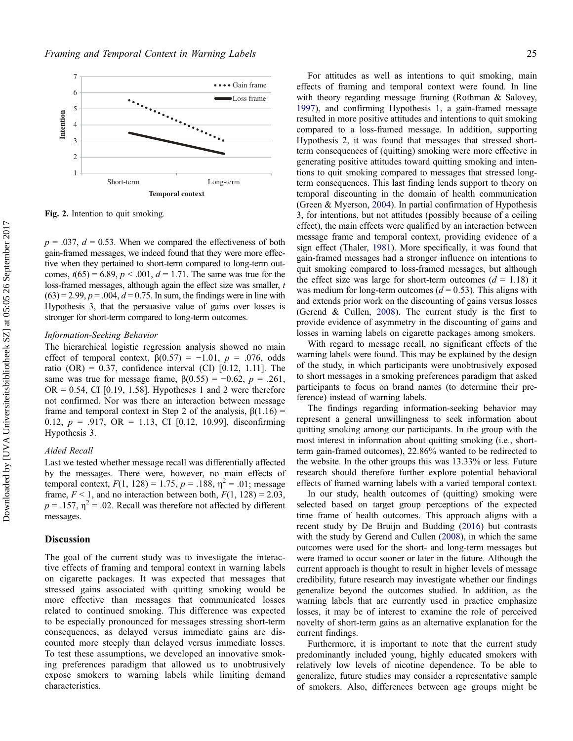<span id="page-6-0"></span>

Fig. 2. Intention to quit smoking.

 $p = .037$ ,  $d = 0.53$ . When we compared the effectiveness of both gain-framed messages, we indeed found that they were more effective when they pertained to short-term compared to long-term outcomes,  $t(65) = 6.89$ ,  $p < .001$ ,  $d = 1.71$ . The same was true for the loss-framed messages, although again the effect size was smaller, t  $(63) = 2.99$ ,  $p = .004$ ,  $d = 0.75$ . In sum, the findings were in line with Hypothesis 3, that the persuasive value of gains over losses is stronger for short-term compared to long-term outcomes.

#### Information-Seeking Behavior

The hierarchical logistic regression analysis showed no main effect of temporal context,  $\beta(0.57) = -1.01$ ,  $p = .076$ , odds ratio (OR) =  $0.37$ , confidence interval (CI) [0.12, 1.11]. The same was true for message frame,  $\beta(0.55) = -0.62$ ,  $p = .261$ ,  $OR = 0.54$ , CI [0.19, 1.58]. Hypotheses 1 and 2 were therefore not confirmed. Nor was there an interaction between message frame and temporal context in Step 2 of the analysis,  $β(1.16) =$ 0.12,  $p = .917$ , OR = 1.13, CI [0.12, 10.99], disconfirming Hypothesis 3.

# Aided Recall

Last we tested whether message recall was differentially affected by the messages. There were, however, no main effects of temporal context,  $F(1, 128) = 1.75$ ,  $p = .188$ ,  $\eta^2 = .01$ ; message frame,  $F < 1$ , and no interaction between both,  $F(1, 128) = 2.03$ ,  $p = .157$ ,  $\eta^2 = .02$ . Recall was therefore not affected by different messages.

# Discussion

The goal of the current study was to investigate the interactive effects of framing and temporal context in warning labels on cigarette packages. It was expected that messages that stressed gains associated with quitting smoking would be more effective than messages that communicated losses related to continued smoking. This difference was expected to be especially pronounced for messages stressing short-term consequences, as delayed versus immediate gains are discounted more steeply than delayed versus immediate losses. To test these assumptions, we developed an innovative smoking preferences paradigm that allowed us to unobtrusively expose smokers to warning labels while limiting demand characteristics.

For attitudes as well as intentions to quit smoking, main effects of framing and temporal context were found. In line with theory regarding message framing (Rothman & Salovey, [1997\)](#page-8-0), and confirming Hypothesis 1, a gain-framed message resulted in more positive attitudes and intentions to quit smoking compared to a loss-framed message. In addition, supporting Hypothesis 2, it was found that messages that stressed shortterm consequences of (quitting) smoking were more effective in generating positive attitudes toward quitting smoking and intentions to quit smoking compared to messages that stressed longterm consequences. This last finding lends support to theory on temporal discounting in the domain of health communication (Green & Myerson, [2004\)](#page-7-0). In partial confirmation of Hypothesis 3, for intentions, but not attitudes (possibly because of a ceiling effect), the main effects were qualified by an interaction between message frame and temporal context, providing evidence of a sign effect (Thaler, [1981](#page-8-0)). More specifically, it was found that gain-framed messages had a stronger influence on intentions to quit smoking compared to loss-framed messages, but although the effect size was large for short-term outcomes  $(d = 1.18)$  it was medium for long-term outcomes  $(d = 0.53)$ . This aligns with and extends prior work on the discounting of gains versus losses (Gerend & Cullen, [2008\)](#page-7-0). The current study is the first to provide evidence of asymmetry in the discounting of gains and losses in warning labels on cigarette packages among smokers.

With regard to message recall, no significant effects of the warning labels were found. This may be explained by the design of the study, in which participants were unobtrusively exposed to short messages in a smoking preferences paradigm that asked participants to focus on brand names (to determine their preference) instead of warning labels.

The findings regarding information-seeking behavior may represent a general unwillingness to seek information about quitting smoking among our participants. In the group with the most interest in information about quitting smoking (i.e., shortterm gain-framed outcomes), 22.86% wanted to be redirected to the website. In the other groups this was 13.33% or less. Future research should therefore further explore potential behavioral effects of framed warning labels with a varied temporal context.

In our study, health outcomes of (quitting) smoking were selected based on target group perceptions of the expected time frame of health outcomes. This approach aligns with a recent study by De Bruijn and Budding ([2016\)](#page-7-0) but contrasts with the study by Gerend and Cullen [\(2008](#page-7-0)), in which the same outcomes were used for the short- and long-term messages but were framed to occur sooner or later in the future. Although the current approach is thought to result in higher levels of message credibility, future research may investigate whether our findings generalize beyond the outcomes studied. In addition, as the warning labels that are currently used in practice emphasize losses, it may be of interest to examine the role of perceived novelty of short-term gains as an alternative explanation for the current findings.

Furthermore, it is important to note that the current study predominantly included young, highly educated smokers with relatively low levels of nicotine dependence. To be able to generalize, future studies may consider a representative sample of smokers. Also, differences between age groups might be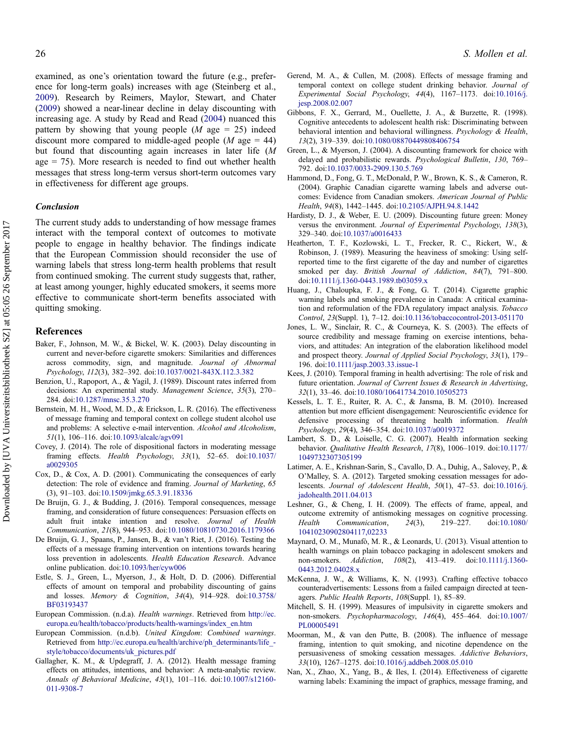<span id="page-7-0"></span>examined, as one's orientation toward the future (e.g., preference for long-term goals) increases with age (Steinberg et al., [2009\)](#page-8-0). Research by Reimers, Maylor, Stewart, and Chater [\(2009](#page-8-0)) showed a near-linear decline in delay discounting with increasing age. A study by Read and Read ([2004\)](#page-8-0) nuanced this pattern by showing that young people ( $M$  age = 25) indeed discount more compared to middle-aged people  $(M \text{ age} = 44)$ but found that discounting again increases in later life (M age  $= 75$ ). More research is needed to find out whether health messages that stress long-term versus short-term outcomes vary in effectiveness for different age groups.

# Conclusion

The current study adds to understanding of how message frames interact with the temporal context of outcomes to motivate people to engage in healthy behavior. The findings indicate that the European Commission should reconsider the use of warning labels that stress long-term health problems that result from continued smoking. The current study suggests that, rather, at least among younger, highly educated smokers, it seems more effective to communicate short-term benefits associated with quitting smoking.

### References

- Baker, F., Johnson, M. W., & Bickel, W. K. (2003). Delay discounting in current and never-before cigarette smokers: Similarities and differences across commodity, sign, and magnitude. Journal of Abnormal Psychology, 112(3), 382–392. doi:[10.1037/0021-843X.112.3.382](http://dx.doi.org/10.1037/0021-843X.112.3.382)
- Benzion, U., Rapoport, A., & Yagil, J. (1989). Discount rates inferred from decisions: An experimental study. Management Science, 35(3), 270– 284. doi:[10.1287/mnsc.35.3.270](http://dx.doi.org/10.1287/mnsc.35.3.270)
- Bernstein, M. H., Wood, M. D., & Erickson, L. R. (2016). The effectiveness of message framing and temporal context on college student alcohol use and problems: A selective e-mail intervention. Alcohol and Alcoholism, 51(1), 106–116. doi:[10.1093/alcalc/agv091](http://dx.doi.org/10.1093/alcalc/agv091)
- Covey, J. (2014). The role of dispositional factors in moderating message framing effects. Health Psychology, 33(1), 52–65. doi:[10.1037/](http://dx.doi.org/10.1037/a0029305) [a0029305](http://dx.doi.org/10.1037/a0029305)
- Cox, D., & Cox, A. D. (2001). Communicating the consequences of early detection: The role of evidence and framing. Journal of Marketing, 65 (3), 91–103. doi:[10.1509/jmkg.65.3.91.18336](http://dx.doi.org/10.1509/jmkg.65.3.91.18336)
- De Bruijn, G. J., & Budding, J. (2016). Temporal consequences, message framing, and consideration of future consequences: Persuasion effects on adult fruit intake intention and resolve. Journal of Health Communication, 21(8), 944–953. doi:[10.1080/10810730.2016.1179366](http://dx.doi.org/10.1080/10810730.2016.1179366)
- De Bruijn, G. J., Spaans, P., Jansen, B., & van't Riet, J. (2016). Testing the effects of a message framing intervention on intentions towards hearing loss prevention in adolescents. Health Education Research. Advance online publication. doi:[10.1093/her/cyw006](http://dx.doi.org/10.1093/her/cyw006)
- Estle, S. J., Green, L., Myerson, J., & Holt, D. D. (2006). Differential effects of amount on temporal and probability discounting of gains and losses. Memory & Cognition, 34(4), 914–928. doi:[10.3758/](http://dx.doi.org/10.3758/BF03193437) [BF03193437](http://dx.doi.org/10.3758/BF03193437)
- European Commission. (n.d.a). Health warnings. Retrieved from [http://ec.](http://ec.europa.eu/health/tobacco/products/health-warnings/index_en.htm) [europa.eu/health/tobacco/products/health-warnings/index\\_en.htm](http://ec.europa.eu/health/tobacco/products/health-warnings/index_en.htm)
- European Commission. (n.d.b). United Kingdom: Combined warnings. Retrieved from [http://ec.europa.eu/health/archive/ph\\_determinants/life\\_](http://ec.europa.eu/health/archive/ph_determinants/life_style/tobacco/documents/uk_pictures.pdf) [style/tobacco/documents/uk\\_pictures.pdf](http://ec.europa.eu/health/archive/ph_determinants/life_style/tobacco/documents/uk_pictures.pdf)
- Gallagher, K. M., & Updegraff, J. A. (2012). Health message framing effects on attitudes, intentions, and behavior: A meta-analytic review. Annals of Behavioral Medicine, 43(1), 101–116. doi:[10.1007/s12160-](http://dx.doi.org/10.1007/s12160-011-9308-7) [011-9308-7](http://dx.doi.org/10.1007/s12160-011-9308-7)
- Gerend, M. A., & Cullen, M. (2008). Effects of message framing and temporal context on college student drinking behavior. Journal of Experimental Social Psychology, 44(4), 1167–1173. doi:[10.1016/j.](http://dx.doi.org/10.1016/j.jesp.2008.02.007) [jesp.2008.02.007](http://dx.doi.org/10.1016/j.jesp.2008.02.007)
- Gibbons, F. X., Gerrard, M., Ouellette, J. A., & Burzette, R. (1998). Cognitive antecedents to adolescent health risk: Discriminating between behavioral intention and behavioral willingness. Psychology & Health, 13(2), 319–339. doi:[10.1080/08870449808406754](http://dx.doi.org/10.1080/08870449808406754)
- Green, L., & Myerson, J. (2004). A discounting framework for choice with delayed and probabilistic rewards. Psychological Bulletin, 130, 769– 792. doi:[10.1037/0033-2909.130.5.769](http://dx.doi.org/10.1037/0033-2909.130.5.769)
- Hammond, D., Fong, G. T., McDonald, P. W., Brown, K. S., & Cameron, R. (2004). Graphic Canadian cigarette warning labels and adverse outcomes: Evidence from Canadian smokers. American Journal of Public Health, 94(8), 1442–1445. doi:[10.2105/AJPH.94.8.1442](http://dx.doi.org/10.2105/AJPH.94.8.1442)
- Hardisty, D. J., & Weber, E. U. (2009). Discounting future green: Money versus the environment. Journal of Experimental Psychology, 138(3), 329–340. doi:[10.1037/a0016433](http://dx.doi.org/10.1037/a0016433)
- Heatherton, T. F., Kozlowski, L. T., Frecker, R. C., Rickert, W., & Robinson, J. (1989). Measuring the heaviness of smoking: Using selfreported time to the first cigarette of the day and number of cigarettes smoked per day. British Journal of Addiction, 84(7), 791-800. doi:[10.1111/j.1360-0443.1989.tb03059.x](http://dx.doi.org/10.1111/j.1360-0443.1989.tb03059.x)
- Huang, J., Chaloupka, F. J., & Fong, G. T. (2014). Cigarette graphic warning labels and smoking prevalence in Canada: A critical examination and reformulation of the FDA regulatory impact analysis. Tobacco Control, 23(Suppl. 1), 7–12. doi:[10.1136/tobaccocontrol-2013-051170](http://dx.doi.org/10.1136/tobaccocontrol-2013-051170)
- Jones, L. W., Sinclair, R. C., & Courneya, K. S. (2003). The effects of source credibility and message framing on exercise intentions, behaviors, and attitudes: An integration of the elaboration likelihood model and prospect theory. Journal of Applied Social Psychology, 33(1), 179– 196. doi:[10.1111/jasp.2003.33.issue-1](http://dx.doi.org/10.1111/jasp.2003.33.issue-1)
- Kees, J. (2010). Temporal framing in health advertising: The role of risk and future orientation. Journal of Current Issues & Research in Advertising, 32(1), 33–46. doi:[10.1080/10641734.2010.10505273](http://dx.doi.org/10.1080/10641734.2010.10505273)
- Kessels, L. T. E., Ruiter, R. A. C., & Jansma, B. M. (2010). Increased attention but more efficient disengagement: Neuroscientific evidence for defensive processing of threatening health information. Health Psychology, 29(4), 346–354. doi:[10.1037/a0019372](http://dx.doi.org/10.1037/a0019372)
- Lambert, S. D., & Loiselle, C. G. (2007). Health information seeking behavior. Qualitative Health Research, 17(8), 1006–1019. doi:[10.1177/](http://dx.doi.org/10.1177/1049732307305199) [1049732307305199](http://dx.doi.org/10.1177/1049732307305199)
- Latimer, A. E., Krishnan-Sarin, S., Cavallo, D. A., Duhig, A., Salovey, P., & O'Malley, S. A. (2012). Targeted smoking cessation messages for adolescents. Journal of Adolescent Health, 50(1), 47–53. doi:[10.1016/j.](http://dx.doi.org/10.1016/j.jadohealth.2011.04.013) [jadohealth.2011.04.013](http://dx.doi.org/10.1016/j.jadohealth.2011.04.013)
- Leshner, G., & Cheng, I. H. (2009). The effects of frame, appeal, and outcome extremity of antismoking messages on cognitive processing. Health Communication, 24(3), 219–227. doi:[10.1080/](http://dx.doi.org/10.1080/10410230902804117,02233) [10410230902804117,02233](http://dx.doi.org/10.1080/10410230902804117,02233)
- Maynard, O. M., Munafò, M. R., & Leonards, U. (2013). Visual attention to health warnings on plain tobacco packaging in adolescent smokers and non-smokers. Addiction, 108(2), 413–419. doi:[10.1111/j.1360-](http://dx.doi.org/10.1111/j.1360-0443.2012.04028.x) [0443.2012.04028.x](http://dx.doi.org/10.1111/j.1360-0443.2012.04028.x)
- McKenna, J. W., & Williams, K. N. (1993). Crafting effective tobacco counteradvertisements: Lessons from a failed campaign directed at teenagers. Public Health Reports, 108(Suppl. 1), 85–89.
- Mitchell, S. H. (1999). Measures of impulsivity in cigarette smokers and non-smokers. Psychopharmacology, 146(4), 455–464. doi:[10.1007/](http://dx.doi.org/10.1007/PL00005491) [PL00005491](http://dx.doi.org/10.1007/PL00005491)
- Moorman, M., & van den Putte, B. (2008). The influence of message framing, intention to quit smoking, and nicotine dependence on the persuasiveness of smoking cessation messages. Addictive Behaviors, 33(10), 1267–1275. doi:[10.1016/j.addbeh.2008.05.010](http://dx.doi.org/10.1016/j.addbeh.2008.05.010)
- Nan, X., Zhao, X., Yang, B., & Iles, I. (2014). Effectiveness of cigarette warning labels: Examining the impact of graphics, message framing, and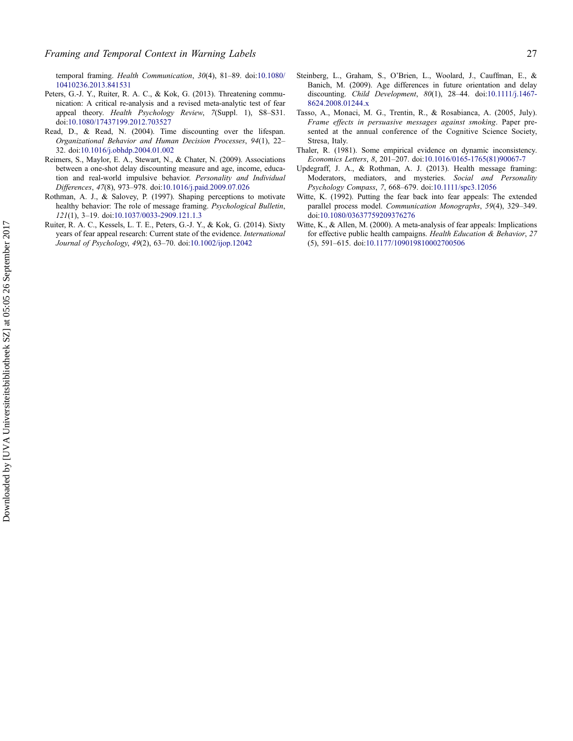<span id="page-8-0"></span>temporal framing. Health Communication, 30(4), 81–89. doi:[10.1080/](http://dx.doi.org/10.1080/10410236.2013.841531) [10410236.2013.841531](http://dx.doi.org/10.1080/10410236.2013.841531)

- Peters, G.-J. Y., Ruiter, R. A. C., & Kok, G. (2013). Threatening communication: A critical re-analysis and a revised meta-analytic test of fear appeal theory. Health Psychology Review, 7(Suppl. 1), S8–S31. doi:[10.1080/17437199.2012.703527](http://dx.doi.org/10.1080/17437199.2012.703527)
- Read, D., & Read, N. (2004). Time discounting over the lifespan. Organizational Behavior and Human Decision Processes, 94(1), 22– 32. doi:[10.1016/j.obhdp.2004.01.002](http://dx.doi.org/10.1016/j.obhdp.2004.01.002)
- Reimers, S., Maylor, E. A., Stewart, N., & Chater, N. (2009). Associations between a one-shot delay discounting measure and age, income, education and real-world impulsive behavior. Personality and Individual Differences, 47(8), 973–978. doi:[10.1016/j.paid.2009.07.026](http://dx.doi.org/10.1016/j.paid.2009.07.026)
- Rothman, A. J., & Salovey, P. (1997). Shaping perceptions to motivate healthy behavior: The role of message framing. Psychological Bulletin, 121(1), 3–19. doi:[10.1037/0033-2909.121.1.3](http://dx.doi.org/10.1037/0033-2909.121.1.3)
- Ruiter, R. A. C., Kessels, L. T. E., Peters, G.-J. Y., & Kok, G. (2014). Sixty years of fear appeal research: Current state of the evidence. International Journal of Psychology, 49(2), 63–70. doi:[10.1002/ijop.12042](http://dx.doi.org/10.1002/ijop.12042)
- Steinberg, L., Graham, S., O'Brien, L., Woolard, J., Cauffman, E., & Banich, M. (2009). Age differences in future orientation and delay discounting. Child Development, 80(1), 28–44. doi:[10.1111/j.1467-](http://dx.doi.org/10.1111/j.1467-8624.2008.01244.x) [8624.2008.01244.x](http://dx.doi.org/10.1111/j.1467-8624.2008.01244.x)
- Tasso, A., Monaci, M. G., Trentin, R., & Rosabianca, A. (2005, July). Frame effects in persuasive messages against smoking. Paper presented at the annual conference of the Cognitive Science Society, Stresa, Italy.
- Thaler, R. (1981). Some empirical evidence on dynamic inconsistency. Economics Letters, 8, 201–207. doi:[10.1016/0165-1765\(81\)90067-7](http://dx.doi.org/10.1016/0165-1765(81)90067-7)
- Updegraff, J. A., & Rothman, A. J. (2013). Health message framing: Moderators, mediators, and mysteries. Social and Personality Psychology Compass, 7, 668–679. doi:[10.1111/spc3.12056](http://dx.doi.org/10.1111/spc3.12056)
- Witte, K. (1992). Putting the fear back into fear appeals: The extended parallel process model. Communication Monographs, 59(4), 329–349. doi:[10.1080/03637759209376276](http://dx.doi.org/10.1080/03637759209376276)
- Witte, K., & Allen, M. (2000). A meta-analysis of fear appeals: Implications for effective public health campaigns. Health Education & Behavior, 27 (5), 591–615. doi:[10.1177/109019810002700506](http://dx.doi.org/10.1177/109019810002700506)